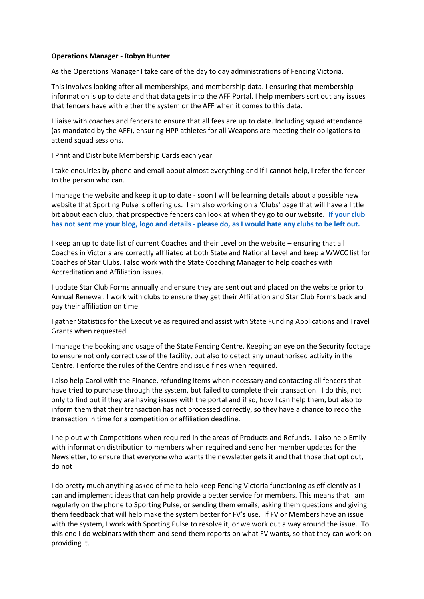## **Operations Manager - Robyn Hunter**

As the Operations Manager I take care of the day to day administrations of Fencing Victoria.

This involves looking after all memberships, and membership data. I ensuring that membership information is up to date and that data gets into the AFF Portal. I help members sort out any issues that fencers have with either the system or the AFF when it comes to this data.

I liaise with coaches and fencers to ensure that all fees are up to date. Including squad attendance (as mandated by the AFF), ensuring HPP athletes for all Weapons are meeting their obligations to attend squad sessions.

I Print and Distribute Membership Cards each year.

I take enquiries by phone and email about almost everything and if I cannot help, I refer the fencer to the person who can.

I manage the website and keep it up to date - soon I will be learning details about a possible new website that Sporting Pulse is offering us. I am also working on a 'Clubs' page that will have a little bit about each club, that prospective fencers can look at when they go to our website. **If your club** has not sent me your blog, logo and details - please do, as I would hate any clubs to be left out.

I keep an up to date list of current Coaches and their Level on the website – ensuring that all Coaches in Victoria are correctly affiliated at both State and National Level and keep a WWCC list for Coaches of Star Clubs. I also work with the State Coaching Manager to help coaches with Accreditation and Affiliation issues.

I update Star Club Forms annually and ensure they are sent out and placed on the website prior to Annual Renewal. I work with clubs to ensure they get their Affiliation and Star Club Forms back and pay their affiliation on time.

I gather Statistics for the Executive as required and assist with State Funding Applications and Travel Grants when requested.

I manage the booking and usage of the State Fencing Centre. Keeping an eye on the Security footage to ensure not only correct use of the facility, but also to detect any unauthorised activity in the Centre. I enforce the rules of the Centre and issue fines when required.

I also help Carol with the Finance, refunding items when necessary and contacting all fencers that have tried to purchase through the system, but failed to complete their transaction. I do this, not only to find out if they are having issues with the portal and if so, how I can help them, but also to inform them that their transaction has not processed correctly, so they have a chance to redo the transaction in time for a competition or affiliation deadline.

I help out with Competitions when required in the areas of Products and Refunds. I also help Emily with information distribution to members when required and send her member updates for the Newsletter, to ensure that everyone who wants the newsletter gets it and that those that opt out, do not

I do pretty much anything asked of me to help keep Fencing Victoria functioning as efficiently as I can and implement ideas that can help provide a better service for members. This means that I am regularly on the phone to Sporting Pulse, or sending them emails, asking them questions and giving them feedback that will help make the system better for FV's use. If FV or Members have an issue with the system, I work with Sporting Pulse to resolve it, or we work out a way around the issue. To this end I do webinars with them and send them reports on what FV wants, so that they can work on providing it.